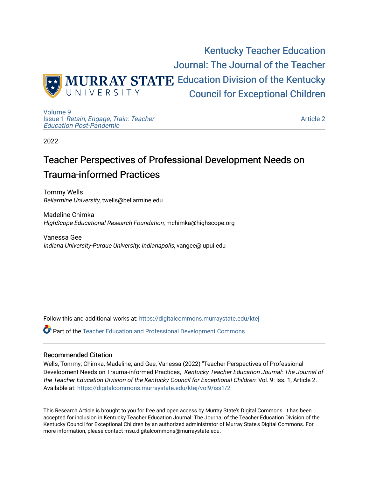

[Volume 9](https://digitalcommons.murraystate.edu/ktej/vol9) Issue 1 [Retain, Engage, Train: Teacher](https://digitalcommons.murraystate.edu/ktej/vol9/iss1)  [Education Post-Pandemic](https://digitalcommons.murraystate.edu/ktej/vol9/iss1) 

[Article 2](https://digitalcommons.murraystate.edu/ktej/vol9/iss1/2) 

2022

# Teacher Perspectives of Professional Development Needs on Trauma-informed Practices

Tommy Wells Bellarmine University, twells@bellarmine.edu

Madeline Chimka HighScope Educational Research Foundation, mchimka@highscope.org

Vanessa Gee Indiana University-Purdue University, Indianapolis, vangee@iupui.edu

Follow this and additional works at: [https://digitalcommons.murraystate.edu/ktej](https://digitalcommons.murraystate.edu/ktej?utm_source=digitalcommons.murraystate.edu%2Fktej%2Fvol9%2Fiss1%2F2&utm_medium=PDF&utm_campaign=PDFCoverPages) 

Part of the [Teacher Education and Professional Development Commons](https://network.bepress.com/hgg/discipline/803?utm_source=digitalcommons.murraystate.edu%2Fktej%2Fvol9%2Fiss1%2F2&utm_medium=PDF&utm_campaign=PDFCoverPages) 

#### Recommended Citation

Wells, Tommy; Chimka, Madeline; and Gee, Vanessa (2022) "Teacher Perspectives of Professional Development Needs on Trauma-informed Practices," Kentucky Teacher Education Journal: The Journal of the Teacher Education Division of the Kentucky Council for Exceptional Children: Vol. 9: Iss. 1, Article 2. Available at: [https://digitalcommons.murraystate.edu/ktej/vol9/iss1/2](https://digitalcommons.murraystate.edu/ktej/vol9/iss1/2?utm_source=digitalcommons.murraystate.edu%2Fktej%2Fvol9%2Fiss1%2F2&utm_medium=PDF&utm_campaign=PDFCoverPages) 

This Research Article is brought to you for free and open access by Murray State's Digital Commons. It has been accepted for inclusion in Kentucky Teacher Education Journal: The Journal of the Teacher Education Division of the Kentucky Council for Exceptional Children by an authorized administrator of Murray State's Digital Commons. For more information, please contact msu.digitalcommons@murraystate.edu.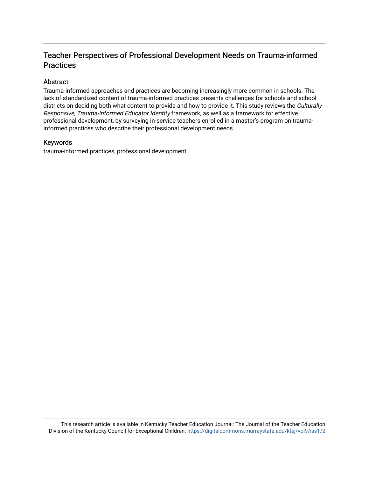## Teacher Perspectives of Professional Development Needs on Trauma-informed **Practices**

#### Abstract

Trauma-informed approaches and practices are becoming increasingly more common in schools. The lack of standardized content of trauma-informed practices presents challenges for schools and school districts on deciding both what content to provide and how to provide it. This study reviews the Culturally Responsive, Trauma-informed Educator Identity framework, as well as a framework for effective professional development, by surveying in-service teachers enrolled in a master's program on traumainformed practices who describe their professional development needs.

#### Keywords

trauma-informed practices, professional development

This research article is available in Kentucky Teacher Education Journal: The Journal of the Teacher Education Division of the Kentucky Council for Exceptional Children: <https://digitalcommons.murraystate.edu/ktej/vol9/iss1/2>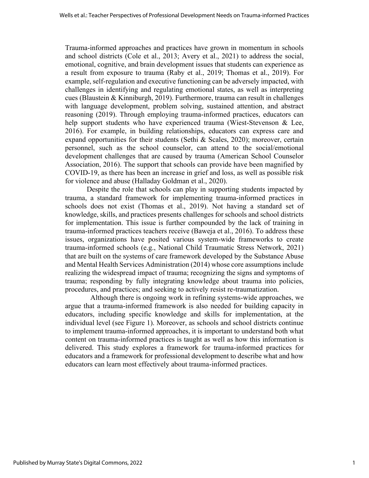Trauma-informed approaches and practices have grown in momentum in schools and school districts (Cole et al., 2013; Avery et al., 2021) to address the social, emotional, cognitive, and brain development issues that students can experience as a result from exposure to trauma (Raby et al., 2019; Thomas et al., 2019). For example, self-regulation and executive functioning can be adversely impacted, with challenges in identifying and regulating emotional states, as well as interpreting cues (Blaustein & Kinniburgh, 2019). Furthermore, trauma can result in challenges with language development, problem solving, sustained attention, and abstract reasoning (2019). Through employing trauma-informed practices, educators can help support students who have experienced trauma (Wiest-Stevenson & Lee, 2016). For example, in building relationships, educators can express care and expand opportunities for their students (Sethi & Scales, 2020); moreover, certain personnel, such as the school counselor, can attend to the social/emotional development challenges that are caused by trauma (American School Counselor Association, 2016). The support that schools can provide have been magnified by COVID-19, as there has been an increase in grief and loss, as well as possible risk for violence and abuse (Halladay Goldman et al., 2020).

Despite the role that schools can play in supporting students impacted by trauma, a standard framework for implementing trauma-informed practices in schools does not exist (Thomas et al., 2019). Not having a standard set of knowledge, skills, and practices presents challenges for schools and school districts for implementation. This issue is further compounded by the lack of training in trauma-informed practices teachers receive (Baweja et al., 2016). To address these issues, organizations have posited various system-wide frameworks to create trauma-informed schools (e.g., National Child Traumatic Stress Network, 2021) that are built on the systems of care framework developed by the Substance Abuse and Mental Health Services Administration (2014) whose core assumptions include realizing the widespread impact of trauma; recognizing the signs and symptoms of trauma; responding by fully integrating knowledge about trauma into policies, procedures, and practices; and seeking to actively resist re-traumatization.

Although there is ongoing work in refining systems-wide approaches, we argue that a trauma-informed framework is also needed for building capacity in educators, including specific knowledge and skills for implementation, at the individual level (see Figure 1). Moreover, as schools and school districts continue to implement trauma-informed approaches, it is important to understand both what content on trauma-informed practices is taught as well as how this information is delivered. This study explores a framework for trauma-informed practices for educators and a framework for professional development to describe what and how educators can learn most effectively about trauma-informed practices.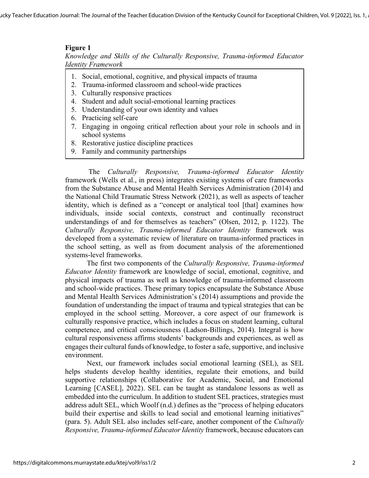### **Figure 1**

*Knowledge and Skills of the Culturally Responsive, Trauma-informed Educator Identity Framework*

- 1. Social, emotional, cognitive, and physical impacts of trauma
- 2. Trauma-informed classroom and school-wide practices
- 3. Culturally responsive practices
- 4. Student and adult social-emotional learning practices
- 5. Understanding of your own identity and values
- 6. Practicing self-care
- 7. Engaging in ongoing critical reflection about your role in schools and in school systems
- 8. Restorative justice discipline practices
- 9. Family and community partnerships

The *Culturally Responsive, Trauma-informed Educator Identity* framework (Wells et al., in press) integrates existing systems of care frameworks from the Substance Abuse and Mental Health Services Administration (2014) and the National Child Traumatic Stress Network (2021), as well as aspects of teacher identity, which is defined as a "concept or analytical tool [that] examines how individuals, inside social contexts, construct and continually reconstruct understandings of and for themselves as teachers" (Olsen, 2012, p. 1122). The *Culturally Responsive, Trauma-informed Educator Identity* framework was developed from a systematic review of literature on trauma-informed practices in the school setting, as well as from document analysis of the aforementioned systems-level frameworks.

The first two components of the *Culturally Responsive, Trauma-informed Educator Identity* framework are knowledge of social, emotional, cognitive, and physical impacts of trauma as well as knowledge of trauma-informed classroom and school-wide practices. These primary topics encapsulate the Substance Abuse and Mental Health Services Administration's (2014) assumptions and provide the foundation of understanding the impact of trauma and typical strategies that can be employed in the school setting. Moreover, a core aspect of our framework is culturally responsive practice, which includes a focus on student learning, cultural competence, and critical consciousness (Ladson-Billings, 2014). Integral is how cultural responsiveness affirms students' backgrounds and experiences, as well as engages their cultural funds of knowledge, to foster a safe, supportive, and inclusive environment.

Next, our framework includes social emotional learning (SEL), as SEL helps students develop healthy identities, regulate their emotions, and build supportive relationships (Collaborative for Academic, Social, and Emotional Learning [CASEL], 2022). SEL can be taught as standalone lessons as well as embedded into the curriculum. In addition to student SEL practices, strategies must address adult SEL, which Woolf (n.d.) defines as the "process of helping educators build their expertise and skills to lead social and emotional learning initiatives" (para. 5). Adult SEL also includes self-care, another component of the *Culturally Responsive, Trauma-informed Educator Identity* framework, because educators can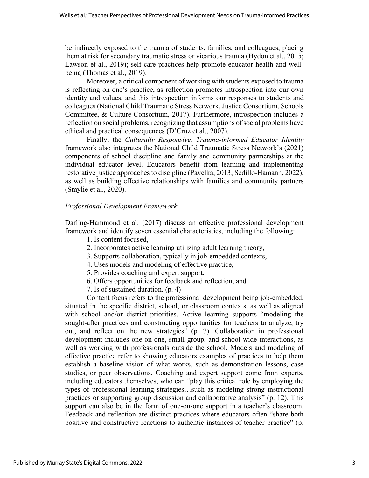be indirectly exposed to the trauma of students, families, and colleagues, placing them at risk for secondary traumatic stress or vicarious trauma (Hydon et al., 2015; Lawson et al., 2019); self-care practices help promote educator health and wellbeing (Thomas et al., 2019).

Moreover, a critical component of working with students exposed to trauma is reflecting on one's practice, as reflection promotes introspection into our own identity and values, and this introspection informs our responses to students and colleagues (National Child Traumatic Stress Network, Justice Consortium, Schools Committee, & Culture Consortium, 2017). Furthermore, introspection includes a reflection on social problems, recognizing that assumptions of social problems have ethical and practical consequences (D'Cruz et al., 2007).

Finally, the *Culturally Responsive, Trauma-informed Educator Identity* framework also integrates the National Child Traumatic Stress Network's (2021) components of school discipline and family and community partnerships at the individual educator level. Educators benefit from learning and implementing restorative justice approaches to discipline (Pavelka, 2013; Sedillo-Hamann, 2022), as well as building effective relationships with families and community partners (Smylie et al., 2020).

## *Professional Development Framework*

Darling-Hammond et al. (2017) discuss an effective professional development framework and identify seven essential characteristics, including the following:

- 1. Is content focused,
- 2. Incorporates active learning utilizing adult learning theory,
- 3. Supports collaboration, typically in job-embedded contexts,
- 4. Uses models and modeling of effective practice,
- 5. Provides coaching and expert support,
- 6. Offers opportunities for feedback and reflection, and
- 7. Is of sustained duration. (p. 4)

Content focus refers to the professional development being job-embedded, situated in the specific district, school, or classroom contexts, as well as aligned with school and/or district priorities. Active learning supports "modeling the sought-after practices and constructing opportunities for teachers to analyze, try out, and reflect on the new strategies" (p. 7). Collaboration in professional development includes one-on-one, small group, and school-wide interactions, as well as working with professionals outside the school. Models and modeling of effective practice refer to showing educators examples of practices to help them establish a baseline vision of what works, such as demonstration lessons, case studies, or peer observations. Coaching and expert support come from experts, including educators themselves, who can "play this critical role by employing the types of professional learning strategies…such as modeling strong instructional practices or supporting group discussion and collaborative analysis" (p. 12). This support can also be in the form of one-on-one support in a teacher's classroom. Feedback and reflection are distinct practices where educators often "share both positive and constructive reactions to authentic instances of teacher practice" (p.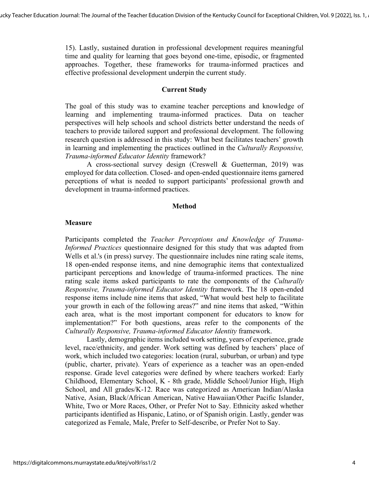15). Lastly, sustained duration in professional development requires meaningful time and quality for learning that goes beyond one-time, episodic, or fragmented approaches. Together, these frameworks for trauma-informed practices and effective professional development underpin the current study.

#### **Current Study**

The goal of this study was to examine teacher perceptions and knowledge of learning and implementing trauma-informed practices. Data on teacher perspectives will help schools and school districts better understand the needs of teachers to provide tailored support and professional development. The following research question is addressed in this study: What best facilitates teachers' growth in learning and implementing the practices outlined in the *Culturally Responsive, Trauma-informed Educator Identity* framework?

A cross-sectional survey design (Creswell & Guetterman, 2019) was employed for data collection. Closed- and open-ended questionnaire items garnered perceptions of what is needed to support participants' professional growth and development in trauma-informed practices.

#### **Method**

#### **Measure**

Participants completed the *Teacher Perceptions and Knowledge of Trauma-Informed Practices* questionnaire designed for this study that was adapted from Wells et al.'s (in press) survey. The questionnaire includes nine rating scale items, 18 open-ended response items, and nine demographic items that contextualized participant perceptions and knowledge of trauma-informed practices. The nine rating scale items asked participants to rate the components of the *Culturally Responsive, Trauma-informed Educator Identity* framework. The 18 open-ended response items include nine items that asked, "What would best help to facilitate your growth in each of the following areas?" and nine items that asked, "Within each area, what is the most important component for educators to know for implementation?" For both questions, areas refer to the components of the *Culturally Responsive, Trauma-informed Educator Identity* framework.

Lastly, demographic items included work setting, years of experience, grade level, race/ethnicity, and gender. Work setting was defined by teachers' place of work, which included two categories: location (rural, suburban, or urban) and type (public, charter, private). Years of experience as a teacher was an open-ended response. Grade level categories were defined by where teachers worked: Early Childhood, Elementary School, K - 8th grade, Middle School/Junior High, High School, and All grades/K-12. Race was categorized as American Indian/Alaska Native, Asian, Black/African American, Native Hawaiian/Other Pacific Islander, White, Two or More Races, Other, or Prefer Not to Say. Ethnicity asked whether participants identified as Hispanic, Latino, or of Spanish origin. Lastly, gender was categorized as Female, Male, Prefer to Self-describe, or Prefer Not to Say.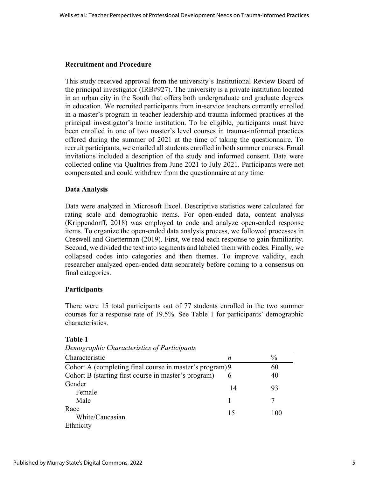## **Recruitment and Procedure**

This study received approval from the university's Institutional Review Board of the principal investigator (IRB#927). The university is a private institution located in an urban city in the South that offers both undergraduate and graduate degrees in education. We recruited participants from in-service teachers currently enrolled in a master's program in teacher leadership and trauma-informed practices at the principal investigator's home institution. To be eligible, participants must have been enrolled in one of two master's level courses in trauma-informed practices offered during the summer of 2021 at the time of taking the questionnaire. To recruit participants, we emailed all students enrolled in both summer courses. Email invitations included a description of the study and informed consent. Data were collected online via Qualtrics from June 2021 to July 2021. Participants were not compensated and could withdraw from the questionnaire at any time.

## **Data Analysis**

Data were analyzed in Microsoft Excel. Descriptive statistics were calculated for rating scale and demographic items. For open-ended data, content analysis (Krippendorff, 2018) was employed to code and analyze open-ended response items. To organize the open-ended data analysis process, we followed processes in Creswell and Guetterman (2019). First, we read each response to gain familiarity. Second, we divided the text into segments and labeled them with codes. Finally, we collapsed codes into categories and then themes. To improve validity, each researcher analyzed open-ended data separately before coming to a consensus on final categories.

#### **Participants**

There were 15 total participants out of 77 students enrolled in the two summer courses for a response rate of 19.5%. See Table 1 for participants' demographic characteristics.

## **Table 1**

|  | Demographic Characteristics of Participants |  |
|--|---------------------------------------------|--|
|--|---------------------------------------------|--|

| Characteristic                                           | n  | $\frac{0}{0}$ |
|----------------------------------------------------------|----|---------------|
| Cohort A (completing final course in master's program) 9 |    | 60            |
| Cohort B (starting first course in master's program)     | 6  | 40            |
| Gender<br>Female                                         | 14 | 93            |
| Male                                                     |    |               |
| Race<br>White/Caucasian                                  | 15 | 100           |
| Ethnicity                                                |    |               |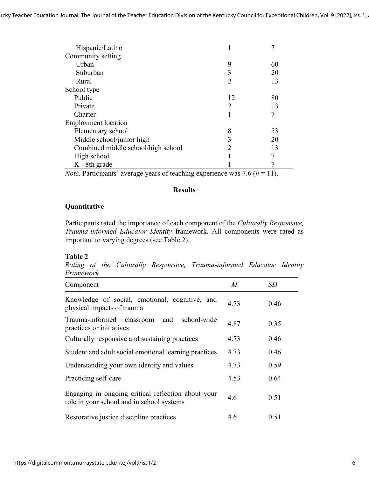| Hispanic/Latino                    |                             |    |
|------------------------------------|-----------------------------|----|
| Community setting                  |                             |    |
| Urban                              | 9                           | 60 |
| Suburban                           | 3                           | 20 |
| Rural                              | 2                           | 13 |
| School type                        |                             |    |
| Public                             | 12                          | 80 |
| Private                            | $\mathcal{D}_{\mathcal{L}}$ | 13 |
| Charter                            |                             | 7  |
| Employment location                |                             |    |
| Elementary school                  | 8                           | 53 |
| Middle school/junior high          | 3                           | 20 |
| Combined middle school/high school |                             | 13 |
| High school                        |                             | 7  |
| K - 8th grade                      |                             |    |

*Note*. Participants' average years of teaching experience was 7.6 ( $n = 11$ ).

## **Results**

#### **Quantitative**

Participants rated the importance of each component of the *Culturally Responsive, Trauma-informed Educator Identity* framework*.* All components were rated as important to varying degrees (see Table 2).

#### **Table 2**

*Rating of the Culturally Responsive, Trauma-informed Educator Identity Framework*

| Component                                                                                       | M    | SD   |
|-------------------------------------------------------------------------------------------------|------|------|
| Knowledge of social, emotional, cognitive, and<br>physical impacts of trauma                    | 4.73 | 0.46 |
| Trauma-informed classroom and<br>school-wide<br>practices or initiatives                        | 4.87 | 0.35 |
| Culturally responsive and sustaining practices                                                  | 4.73 | 0.46 |
| Student and adult social emotional learning practices                                           | 4.73 | 0.46 |
| Understanding your own identity and values                                                      | 4.73 | 0.59 |
| Practicing self-care                                                                            | 4.53 | 0.64 |
| Engaging in ongoing critical reflection about your<br>role in your school and in school systems | 4.6  | 0.51 |
| Restorative justice discipline practices                                                        | 4.6  | 0.51 |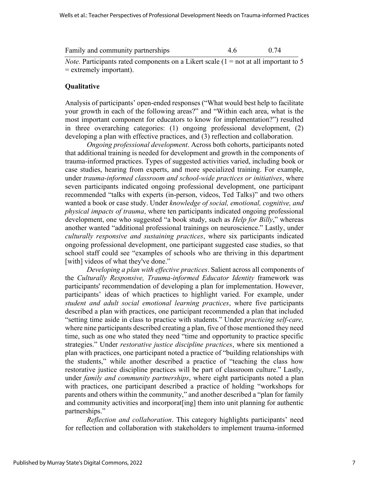| Family and community partnerships |  | 0.74 |
|-----------------------------------|--|------|
|-----------------------------------|--|------|

*Note.* Participants rated components on a Likert scale  $(1 = not at all important to 5)$ = extremely important).

#### **Qualitative**

Analysis of participants' open-ended responses ("What would best help to facilitate your growth in each of the following areas?" and "Within each area, what is the most important component for educators to know for implementation?") resulted in three overarching categories: (1) ongoing professional development, (2) developing a plan with effective practices, and (3) reflection and collaboration.

*Ongoing professional development*. Across both cohorts, participants noted that additional training is needed for development and growth in the components of trauma-informed practices. Types of suggested activities varied, including book or case studies, hearing from experts, and more specialized training. For example, under *trauma-informed classroom and school-wide practices or initiatives*, where seven participants indicated ongoing professional development, one participant recommended "talks with experts (in-person, videos, Ted Talks)" and two others wanted a book or case study. Under *knowledge of social, emotional, cognitive, and physical impacts of trauma*, where ten participants indicated ongoing professional development, one who suggested "a book study, such as *Help for Billy*," whereas another wanted "additional professional trainings on neuroscience." Lastly, under *culturally responsive and sustaining practices*, where six participants indicated ongoing professional development, one participant suggested case studies, so that school staff could see "examples of schools who are thriving in this department [with] videos of what they've done."

*Developing a plan with effective practices*. Salient across all components of the *Culturally Responsive, Trauma-informed Educator Identity* framework was participants' recommendation of developing a plan for implementation. However, participants' ideas of which practices to highlight varied. For example, under *student and adult social emotional learning practices*, where five participants described a plan with practices, one participant recommended a plan that included "setting time aside in class to practice with students." Under *practicing self-care,*  where nine participants described creating a plan, five of those mentioned they need time, such as one who stated they need "time and opportunity to practice specific strategies." Under *restorative justice discipline practices*, where six mentioned a plan with practices, one participant noted a practice of "building relationships with the students," while another described a practice of "teaching the class how restorative justice discipline practices will be part of classroom culture." Lastly, under *family and community partnerships*, where eight participants noted a plan with practices, one participant described a practice of holding "workshops for parents and others within the community," and another described a "plan for family and community activities and incorporat[ing] them into unit planning for authentic partnerships."

*Reflection and collaboration*. This category highlights participants' need for reflection and collaboration with stakeholders to implement trauma-informed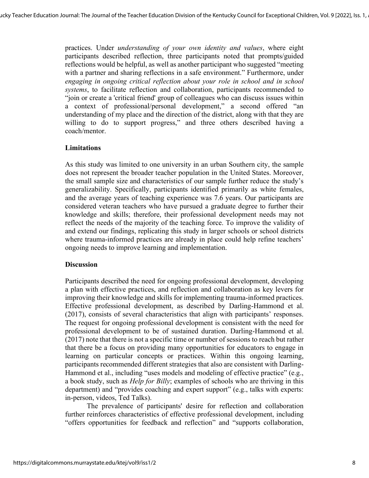practices. Under *understanding of your own identity and values*, where eight participants described reflection, three participants noted that prompts/guided reflections would be helpful, as well as another participant who suggested "meeting with a partner and sharing reflections in a safe environment." Furthermore, under *engaging in ongoing critical reflection about your role in school and in school systems*, to facilitate reflection and collaboration, participants recommended to "join or create a 'critical friend' group of colleagues who can discuss issues within a context of professional/personal development," a second offered "an understanding of my place and the direction of the district, along with that they are willing to do to support progress," and three others described having a coach/mentor.

#### **Limitations**

As this study was limited to one university in an urban Southern city, the sample does not represent the broader teacher population in the United States. Moreover, the small sample size and characteristics of our sample further reduce the study's generalizability. Specifically, participants identified primarily as white females, and the average years of teaching experience was 7.6 years. Our participants are considered veteran teachers who have pursued a graduate degree to further their knowledge and skills; therefore, their professional development needs may not reflect the needs of the majority of the teaching force. To improve the validity of and extend our findings, replicating this study in larger schools or school districts where trauma-informed practices are already in place could help refine teachers' ongoing needs to improve learning and implementation.

#### **Discussion**

Participants described the need for ongoing professional development, developing a plan with effective practices, and reflection and collaboration as key levers for improving their knowledge and skills for implementing trauma-informed practices. Effective professional development, as described by Darling-Hammond et al. (2017), consists of several characteristics that align with participants' responses. The request for ongoing professional development is consistent with the need for professional development to be of sustained duration. Darling-Hammond et al. (2017) note that there is not a specific time or number of sessions to reach but rather that there be a focus on providing many opportunities for educators to engage in learning on particular concepts or practices. Within this ongoing learning, participants recommended different strategies that also are consistent with Darling-Hammond et al., including "uses models and modeling of effective practice" (e.g., a book study, such as *Help for Billy*; examples of schools who are thriving in this department) and "provides coaching and expert support" (e.g., talks with experts: in-person, videos, Ted Talks).

The prevalence of participants' desire for reflection and collaboration further reinforces characteristics of effective professional development, including "offers opportunities for feedback and reflection" and "supports collaboration,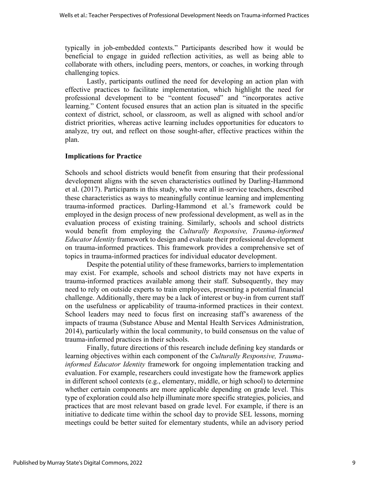typically in job-embedded contexts." Participants described how it would be beneficial to engage in guided reflection activities, as well as being able to collaborate with others, including peers, mentors, or coaches, in working through challenging topics.

Lastly, participants outlined the need for developing an action plan with effective practices to facilitate implementation, which highlight the need for professional development to be "content focused" and "incorporates active learning." Content focused ensures that an action plan is situated in the specific context of district, school, or classroom, as well as aligned with school and/or district priorities, whereas active learning includes opportunities for educators to analyze, try out, and reflect on those sought-after, effective practices within the plan.

## **Implications for Practice**

Schools and school districts would benefit from ensuring that their professional development aligns with the seven characteristics outlined by Darling-Hammond et al. (2017). Participants in this study, who were all in-service teachers, described these characteristics as ways to meaningfully continue learning and implementing trauma-informed practices. Darling-Hammond et al.'s framework could be employed in the design process of new professional development, as well as in the evaluation process of existing training. Similarly, schools and school districts would benefit from employing the *Culturally Responsive, Trauma-informed Educator Identity* framework to design and evaluate their professional development on trauma-informed practices. This framework provides a comprehensive set of topics in trauma-informed practices for individual educator development.

Despite the potential utility of these frameworks, barriers to implementation may exist. For example, schools and school districts may not have experts in trauma-informed practices available among their staff. Subsequently, they may need to rely on outside experts to train employees, presenting a potential financial challenge. Additionally, there may be a lack of interest or buy-in from current staff on the usefulness or applicability of trauma-informed practices in their context. School leaders may need to focus first on increasing staff's awareness of the impacts of trauma (Substance Abuse and Mental Health Services Administration, 2014), particularly within the local community, to build consensus on the value of trauma-informed practices in their schools.

Finally, future directions of this research include defining key standards or learning objectives within each component of the *Culturally Responsive, Traumainformed Educator Identity* framework for ongoing implementation tracking and evaluation. For example, researchers could investigate how the framework applies in different school contexts (e.g., elementary, middle, or high school) to determine whether certain components are more applicable depending on grade level. This type of exploration could also help illuminate more specific strategies, policies, and practices that are most relevant based on grade level. For example, if there is an initiative to dedicate time within the school day to provide SEL lessons, morning meetings could be better suited for elementary students, while an advisory period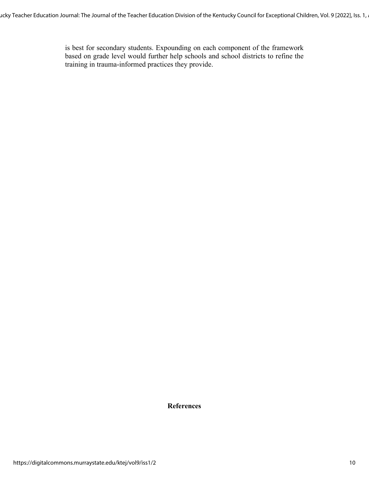is best for secondary students. Expounding on each component of the framework based on grade level would further help schools and school districts to refine the training in trauma-informed practices they provide.

**References**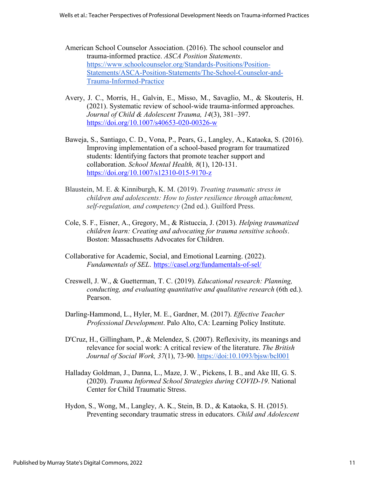- American School Counselor Association. (2016). The school counselor and trauma-informed practice. *ASCA Position Statements*. [https://www.schoolcounselor.org/Standards-Positions/Position-](https://www.schoolcounselor.org/Standards-Positions/Position-Statements/ASCA-Position-Statements/The-School-Counselor-and-Trauma-Informed-Practice)[Statements/ASCA-Position-Statements/The-School-Counselor-and-](https://www.schoolcounselor.org/Standards-Positions/Position-Statements/ASCA-Position-Statements/The-School-Counselor-and-Trauma-Informed-Practice)[Trauma-Informed-Practice](https://www.schoolcounselor.org/Standards-Positions/Position-Statements/ASCA-Position-Statements/The-School-Counselor-and-Trauma-Informed-Practice)
- Avery, J. C., Morris, H., Galvin, E., Misso, M., Savaglio, M., & Skouteris, H. (2021). Systematic review of school-wide trauma-informed approaches. *Journal of Child & Adolescent Trauma, 14*(3), 381–397. <https://doi.org/10.1007/s40653-020-00326-w>
- Baweja, S., Santiago, C. D., Vona, P., Pears, G., Langley, A., Kataoka, S. (2016). Improving implementation of a school-based program for traumatized students: Identifying factors that promote teacher support and collaboration. *School Mental Health, 8*(1), 120-131. <https://doi.org/10.1007/s12310-015-9170-z>
- Blaustein, M. E. & Kinniburgh, K. M. (2019). *Treating traumatic stress in children and adolescents: How to foster resilience through attachment, self-regulation, and competency* (2nd ed.). Guilford Press.
- Cole, S. F., Eisner, A., Gregory, M., & Ristuccia, J. (2013). *Helping traumatized children learn: Creating and advocating for trauma sensitive schools*. Boston: Massachusetts Advocates for Children.
- Collaborative for Academic, Social, and Emotional Learning. (2022). *Fundamentals of SEL*. <https://casel.org/fundamentals-of-sel/>
- Creswell, J. W., & Guetterman, T. C. (2019). *Educational research: Planning, conducting, and evaluating quantitative and qualitative research* (6th ed.). Pearson.
- Darling-Hammond, L., Hyler, M. E., Gardner, M. (2017). *Effective Teacher Professional Development*. Palo Alto, CA: Learning Policy Institute.
- D'Cruz, H., Gillingham, P., & Melendez, S. (2007). Reflexivity, its meanings and relevance for social work: A critical review of the literature. *The British Journal of Social Work, 37*(1), 73-90. [https://doi:10.1093/bjsw/bcl001](about:blank)
- Halladay Goldman, J., Danna, L., Maze, J. W., Pickens, I. B., and Ake III, G. S. (2020). *Trauma Informed School Strategies during COVID-19*. National Center for Child Traumatic Stress.
- Hydon, S., Wong, M., Langley, A. K., Stein, B. D., & Kataoka, S. H. (2015). Preventing secondary traumatic stress in educators. *Child and Adolescent*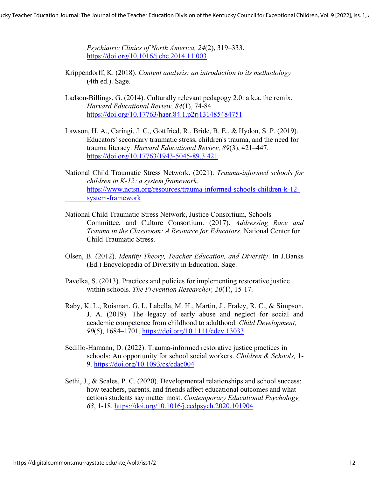*Psychiatric Clinics of North America, 24*(2), 319–333. <https://doi.org/10.1016/j.chc.2014.11.003>

- Krippendorff, K. (2018). *Content analysis: an introduction to its methodology* (4th ed.). Sage.
- Ladson-Billings, G. (2014). Culturally relevant pedagogy 2.0: a.k.a. the remix. *Harvard Educational Review, 84*(1), 74-84. <https://doi.org/10.17763/haer.84.1.p2rj131485484751>
- Lawson, H. A., Caringi, J. C., Gottfried, R., Bride, B. E., & Hydon, S. P. (2019). Educators' secondary traumatic stress, children's trauma, and the need for trauma literacy. *Harvard Educational Review, 89*(3), 421–447. <https://doi.org/10.17763/1943-5045-89.3.421>
- National Child Traumatic Stress Network. (2021). *Trauma-informed schools for children in K-12: a system framework*. [https://www.nctsn.org/resources/trauma-informed-schools-children-k-12](https://www.nctsn.org/resources/trauma-informed-schools-children-k-12-%09system-framework) [system-framework](https://www.nctsn.org/resources/trauma-informed-schools-children-k-12-%09system-framework)
- National Child Traumatic Stress Network, Justice Consortium, Schools Committee, and Culture Consortium. (2017). *Addressing Race and Trauma in the Classroom: A Resource for Educators.* National Center for Child Traumatic Stress.
- Olsen, B. (2012). *Identity Theory, Teacher Education, and Diversity*. In J.Banks (Ed.) Encyclopedia of Diversity in Education. Sage.
- Pavelka, S. (2013). Practices and policies for implementing restorative justice within schools. *The Prevention Researcher, 20*(1), 15-17.
- Raby, K. L., Roisman, G. I., Labella, M. H., Martin, J., Fraley, R. C., & Simpson, J. A. (2019). The legacy of early abuse and neglect for social and academic competence from childhood to adulthood. *Child Development, 90*(5), 1684–1701.<https://doi.org/10.1111/cdev.13033>
- Sedillo-Hamann, D. (2022). Trauma-informed restorative justice practices in schools: An opportunity for school social workers. *Children & Schools,* 1- 9. <https://doi.org/10.1093/cs/cdac004>
- Sethi, J., & Scales, P. C. (2020). Developmental relationships and school success: how teachers, parents, and friends affect educational outcomes and what actions students say matter most. *Contemporary Educational Psychology, 63*, 1-18.<https://doi.org/10.1016/j.cedpsych.2020.101904>